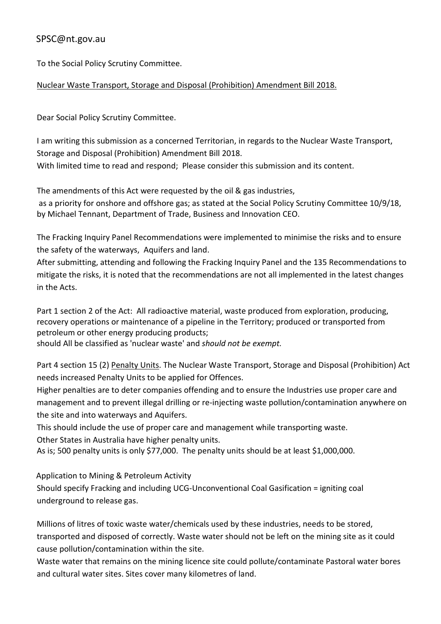## SPSC@nt.gov.au

To the Social Policy Scrutiny Committee.

## Nuclear Waste Transport, Storage and Disposal (Prohibition) Amendment Bill 2018.

Dear Social Policy Scrutiny Committee.

I am writing this submission as a concerned Territorian, in regards to the Nuclear Waste Transport, Storage and Disposal (Prohibition) Amendment Bill 2018.

With limited time to read and respond; Please consider this submission and its content.

The amendments of this Act were requested by the oil & gas industries,

as a priority for onshore and offshore gas; as stated at the Social Policy Scrutiny Committee 10/9/18, by Michael Tennant, Department of Trade, Business and Innovation CEO.

The Fracking Inquiry Panel Recommendations were implemented to minimise the risks and to ensure the safety of the waterways, Aquifers and land.

After submitting, attending and following the Fracking Inquiry Panel and the 135 Recommendations to mitigate the risks, it is noted that the recommendations are not all implemented in the latest changes in the Acts.

Part 1 section 2 of the Act: All radioactive material, waste produced from exploration, producing, recovery operations or maintenance of a pipeline in the Territory; produced or transported from petroleum or other energy producing products;

should All be classified as 'nuclear waste' and *should not be exempt.*

Part 4 section 15 (2) Penalty Units. The Nuclear Waste Transport, Storage and Disposal (Prohibition) Act needs increased Penalty Units to be applied for Offences.

Higher penalties are to deter companies offending and to ensure the Industries use proper care and management and to prevent illegal drilling or re-injecting waste pollution/contamination anywhere on the site and into waterways and Aquifers.

This should include the use of proper care and management while transporting waste. Other States in Australia have higher penalty units.

As is; 500 penalty units is only \$77,000. The penalty units should be at least \$1,000,000.

Application to Mining & Petroleum Activity

Should specify Fracking and including UCG-Unconventional Coal Gasification = igniting coal underground to release gas.

Millions of litres of toxic waste water/chemicals used by these industries, needs to be stored, transported and disposed of correctly. Waste water should not be left on the mining site as it could cause pollution/contamination within the site.

Waste water that remains on the mining licence site could pollute/contaminate Pastoral water bores and cultural water sites. Sites cover many kilometres of land.